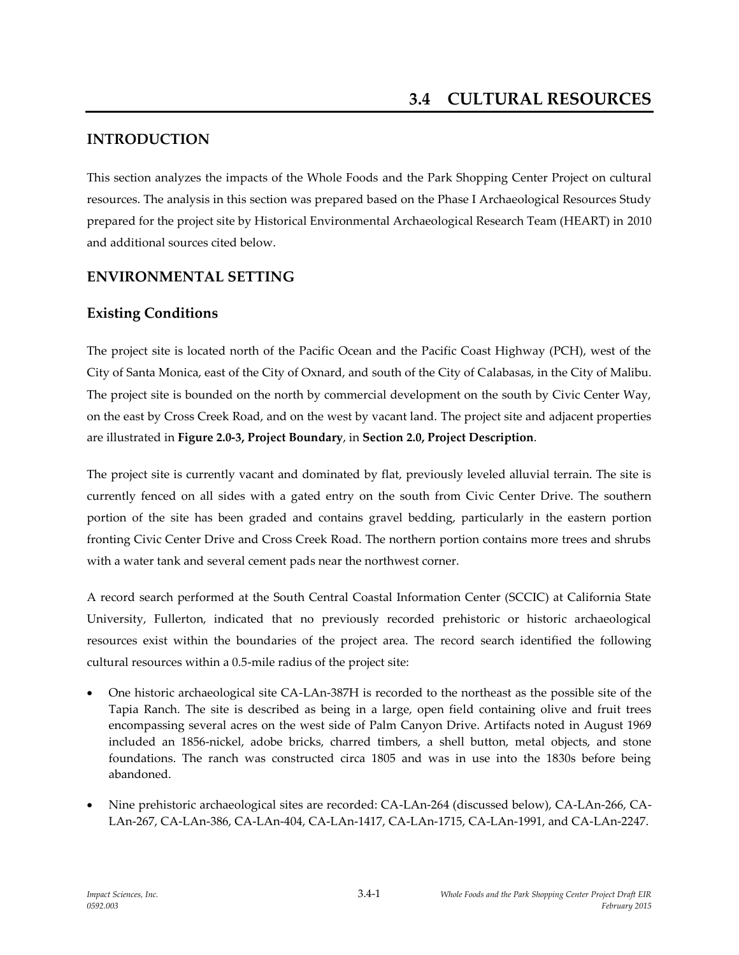# **INTRODUCTION**

This section analyzes the impacts of the Whole Foods and the Park Shopping Center Project on cultural resources. The analysis in this section was prepared based on the Phase I Archaeological Resources Study prepared for the project site by Historical Environmental Archaeological Research Team (HEART) in 2010 and additional sources cited below.

# **ENVIRONMENTAL SETTING**

## **Existing Conditions**

The project site is located north of the Pacific Ocean and the Pacific Coast Highway (PCH), west of the City of Santa Monica, east of the City of Oxnard, and south of the City of Calabasas, in the City of Malibu. The project site is bounded on the north by commercial development on the south by Civic Center Way, on the east by Cross Creek Road, and on the west by vacant land. The project site and adjacent properties are illustrated in **Figure 2.0-3, Project Boundary**, in **Section 2.0, Project Description**.

The project site is currently vacant and dominated by flat, previously leveled alluvial terrain. The site is currently fenced on all sides with a gated entry on the south from Civic Center Drive. The southern portion of the site has been graded and contains gravel bedding, particularly in the eastern portion fronting Civic Center Drive and Cross Creek Road. The northern portion contains more trees and shrubs with a water tank and several cement pads near the northwest corner.

A record search performed at the South Central Coastal Information Center (SCCIC) at California State University, Fullerton, indicated that no previously recorded prehistoric or historic archaeological resources exist within the boundaries of the project area. The record search identified the following cultural resources within a 0.5-mile radius of the project site:

- One historic archaeological site CA-LAn-387H is recorded to the northeast as the possible site of the Tapia Ranch. The site is described as being in a large, open field containing olive and fruit trees encompassing several acres on the west side of Palm Canyon Drive. Artifacts noted in August 1969 included an 1856-nickel, adobe bricks, charred timbers, a shell button, metal objects, and stone foundations. The ranch was constructed circa 1805 and was in use into the 1830s before being abandoned.
- Nine prehistoric archaeological sites are recorded: CA-LAn-264 (discussed below), CA-LAn-266, CA-LAn-267, CA-LAn-386, CA-LAn-404, CA-LAn-1417, CA-LAn-1715, CA-LAn-1991, and CA-LAn-2247.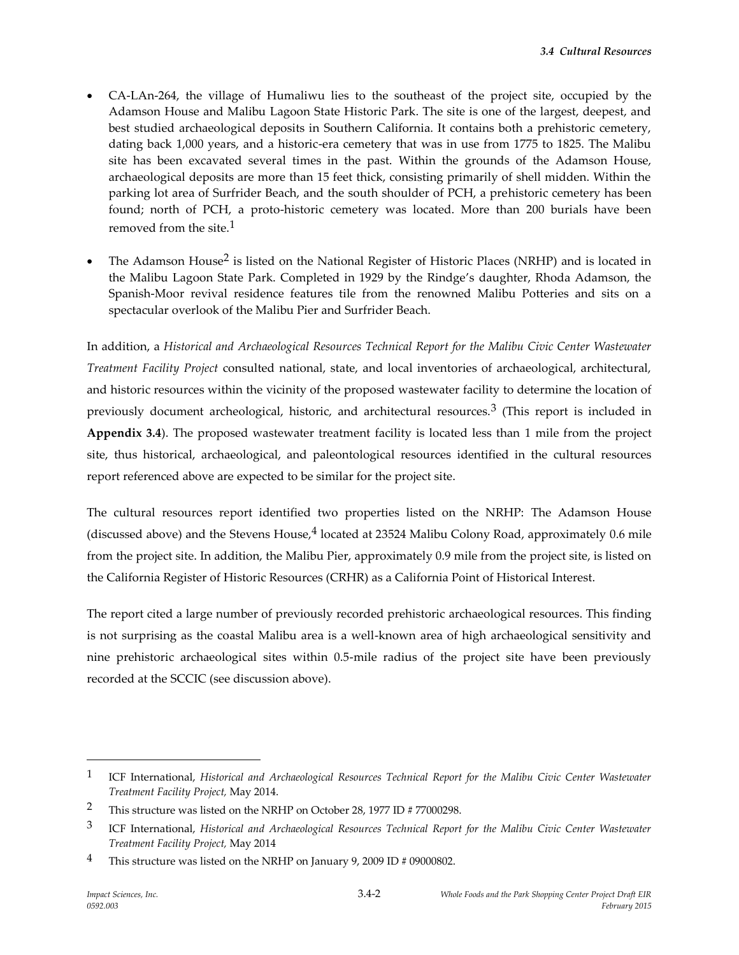- CA-LAn-264, the village of Humaliwu lies to the southeast of the project site, occupied by the Adamson House and Malibu Lagoon State Historic Park. The site is one of the largest, deepest, and best studied archaeological deposits in Southern California. It contains both a prehistoric cemetery, dating back 1,000 years, and a historic-era cemetery that was in use from 1775 to 1825. The Malibu site has been excavated several times in the past. Within the grounds of the Adamson House, archaeological deposits are more than 15 feet thick, consisting primarily of shell midden. Within the parking lot area of Surfrider Beach, and the south shoulder of PCH, a prehistoric cemetery has been found; north of PCH, a proto-historic cemetery was located. More than 200 burials have been removed from the site. $1$
- The Adamson House<sup>2</sup> is listed on the National Register of Historic Places (NRHP) and is located in the Malibu Lagoon State Park. Completed in 1929 by the Rindge's daughter, Rhoda Adamson, the Spanish-Moor revival residence features tile from the renowned Malibu Potteries and sits on a spectacular overlook of the Malibu Pier and Surfrider Beach.

In addition, a *Historical and Archaeological Resources Technical Report for the Malibu Civic Center Wastewater Treatment Facility Project* consulted national, state, and local inventories of archaeological, architectural, and historic resources within the vicinity of the proposed wastewater facility to determine the location of previously document archeological, historic, and architectural resources.<sup>3</sup> (This report is included in **Appendix 3.4**). The proposed wastewater treatment facility is located less than 1 mile from the project site, thus historical, archaeological, and paleontological resources identified in the cultural resources report referenced above are expected to be similar for the project site.

The cultural resources report identified two properties listed on the NRHP: The Adamson House (discussed above) and the Stevens House, $4$  located at 23524 Malibu Colony Road, approximately 0.6 mile from the project site. In addition, the Malibu Pier, approximately 0.9 mile from the project site, is listed on the California Register of Historic Resources (CRHR) as a California Point of Historical Interest.

The report cited a large number of previously recorded prehistoric archaeological resources. This finding is not surprising as the coastal Malibu area is a well-known area of high archaeological sensitivity and nine prehistoric archaeological sites within 0.5-mile radius of the project site have been previously recorded at the SCCIC (see discussion above).

<sup>1</sup> ICF International, *Historical and Archaeological Resources Technical Report for the Malibu Civic Center Wastewater Treatment Facility Project,* May 2014.

<sup>&</sup>lt;sup>2</sup> This structure was listed on the NRHP on October 28, 1977 ID # 77000298.

<sup>3</sup> ICF International, *Historical and Archaeological Resources Technical Report for the Malibu Civic Center Wastewater Treatment Facility Project,* May 2014

<sup>&</sup>lt;sup>4</sup> This structure was listed on the NRHP on January 9, 2009 ID # 09000802.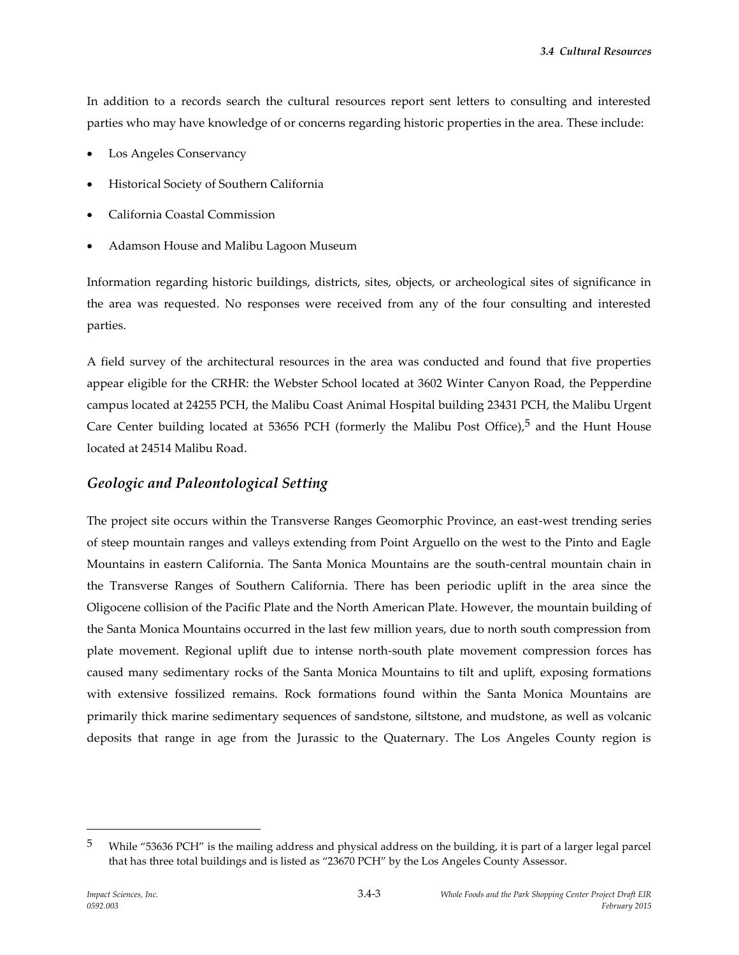In addition to a records search the cultural resources report sent letters to consulting and interested parties who may have knowledge of or concerns regarding historic properties in the area. These include:

- Los Angeles Conservancy
- Historical Society of Southern California
- California Coastal Commission
- Adamson House and Malibu Lagoon Museum

Information regarding historic buildings, districts, sites, objects, or archeological sites of significance in the area was requested. No responses were received from any of the four consulting and interested parties.

A field survey of the architectural resources in the area was conducted and found that five properties appear eligible for the CRHR: the Webster School located at 3602 Winter Canyon Road, the Pepperdine campus located at 24255 PCH, the Malibu Coast Animal Hospital building 23431 PCH, the Malibu Urgent Care Center building located at 53656 PCH (formerly the Malibu Post Office),<sup>5</sup> and the Hunt House located at 24514 Malibu Road.

## *Geologic and Paleontological Setting*

The project site occurs within the Transverse Ranges Geomorphic Province, an east-west trending series of steep mountain ranges and valleys extending from Point Arguello on the west to the Pinto and Eagle Mountains in eastern California. The Santa Monica Mountains are the south-central mountain chain in the Transverse Ranges of Southern California. There has been periodic uplift in the area since the Oligocene collision of the Pacific Plate and the North American Plate. However, the mountain building of the Santa Monica Mountains occurred in the last few million years, due to north south compression from plate movement. Regional uplift due to intense north-south plate movement compression forces has caused many sedimentary rocks of the Santa Monica Mountains to tilt and uplift, exposing formations with extensive fossilized remains. Rock formations found within the Santa Monica Mountains are primarily thick marine sedimentary sequences of sandstone, siltstone, and mudstone, as well as volcanic deposits that range in age from the Jurassic to the Quaternary. The Los Angeles County region is

<sup>&</sup>lt;sup>5</sup> While "53636 PCH" is the mailing address and physical address on the building, it is part of a larger legal parcel that has three total buildings and is listed as "23670 PCH" by the Los Angeles County Assessor.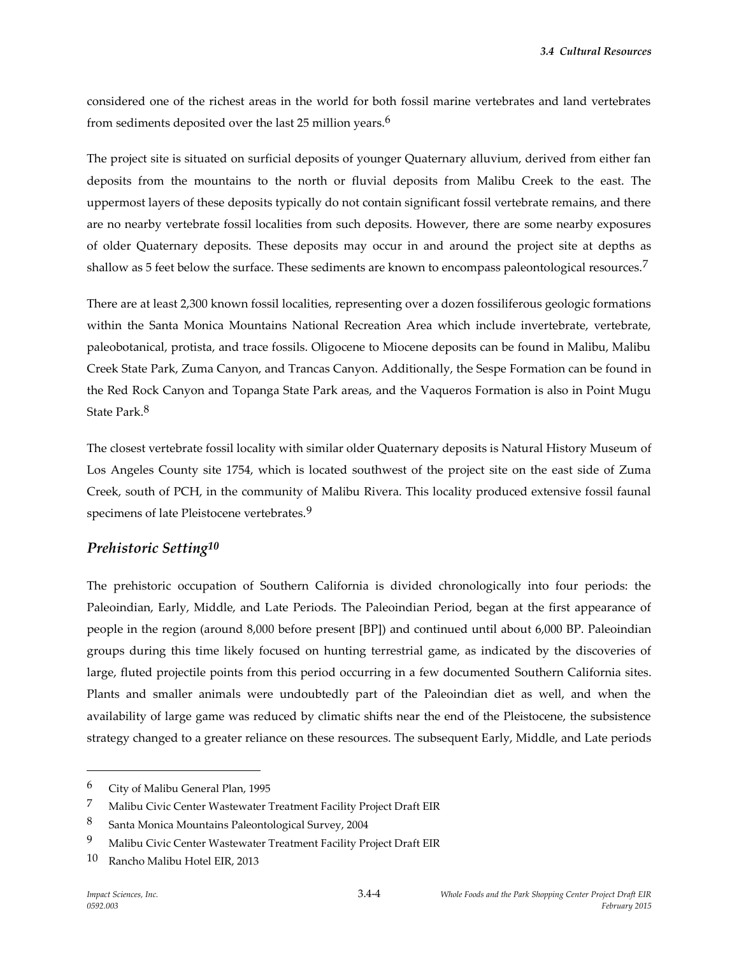considered one of the richest areas in the world for both fossil marine vertebrates and land vertebrates from sediments deposited over the last 25 million years.6

The project site is situated on surficial deposits of younger Quaternary alluvium, derived from either fan deposits from the mountains to the north or fluvial deposits from Malibu Creek to the east. The uppermost layers of these deposits typically do not contain significant fossil vertebrate remains, and there are no nearby vertebrate fossil localities from such deposits. However, there are some nearby exposures of older Quaternary deposits. These deposits may occur in and around the project site at depths as shallow as 5 feet below the surface. These sediments are known to encompass paleontological resources.<sup>7</sup>

There are at least 2,300 known fossil localities, representing over a dozen fossiliferous geologic formations within the Santa Monica Mountains National Recreation Area which include invertebrate, vertebrate, paleobotanical, protista, and trace fossils. Oligocene to Miocene deposits can be found in Malibu, Malibu Creek State Park, Zuma Canyon, and Trancas Canyon. Additionally, the Sespe Formation can be found in the Red Rock Canyon and Topanga State Park areas, and the Vaqueros Formation is also in Point Mugu State Park.8

The closest vertebrate fossil locality with similar older Quaternary deposits is Natural History Museum of Los Angeles County site 1754, which is located southwest of the project site on the east side of Zuma Creek, south of PCH, in the community of Malibu Rivera. This locality produced extensive fossil faunal specimens of late Pleistocene vertebrates.<sup>9</sup>

## *Prehistoric Setting10*

The prehistoric occupation of Southern California is divided chronologically into four periods: the Paleoindian, Early, Middle, and Late Periods. The Paleoindian Period, began at the first appearance of people in the region (around 8,000 before present [BP]) and continued until about 6,000 BP. Paleoindian groups during this time likely focused on hunting terrestrial game, as indicated by the discoveries of large, fluted projectile points from this period occurring in a few documented Southern California sites. Plants and smaller animals were undoubtedly part of the Paleoindian diet as well, and when the availability of large game was reduced by climatic shifts near the end of the Pleistocene, the subsistence strategy changed to a greater reliance on these resources. The subsequent Early, Middle, and Late periods

<sup>6</sup> City of Malibu General Plan, 1995

<sup>7</sup> Malibu Civic Center Wastewater Treatment Facility Project Draft EIR

<sup>8</sup> Santa Monica Mountains Paleontological Survey, 2004

<sup>9</sup> Malibu Civic Center Wastewater Treatment Facility Project Draft EIR

<sup>10</sup> Rancho Malibu Hotel EIR, 2013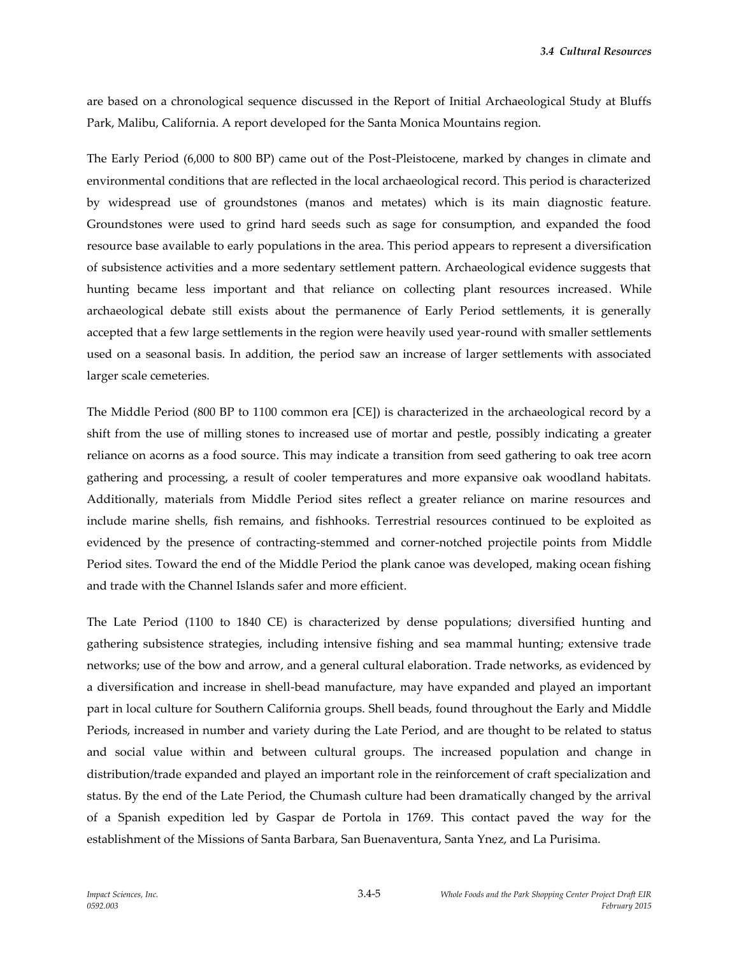are based on a chronological sequence discussed in the Report of Initial Archaeological Study at Bluffs Park, Malibu, California. A report developed for the Santa Monica Mountains region.

The Early Period (6,000 to 800 BP) came out of the Post-Pleistocene, marked by changes in climate and environmental conditions that are reflected in the local archaeological record. This period is characterized by widespread use of groundstones (manos and metates) which is its main diagnostic feature. Groundstones were used to grind hard seeds such as sage for consumption, and expanded the food resource base available to early populations in the area. This period appears to represent a diversification of subsistence activities and a more sedentary settlement pattern. Archaeological evidence suggests that hunting became less important and that reliance on collecting plant resources increased. While archaeological debate still exists about the permanence of Early Period settlements, it is generally accepted that a few large settlements in the region were heavily used year-round with smaller settlements used on a seasonal basis. In addition, the period saw an increase of larger settlements with associated larger scale cemeteries.

The Middle Period (800 BP to 1100 common era [CE]) is characterized in the archaeological record by a shift from the use of milling stones to increased use of mortar and pestle, possibly indicating a greater reliance on acorns as a food source. This may indicate a transition from seed gathering to oak tree acorn gathering and processing, a result of cooler temperatures and more expansive oak woodland habitats. Additionally, materials from Middle Period sites reflect a greater reliance on marine resources and include marine shells, fish remains, and fishhooks. Terrestrial resources continued to be exploited as evidenced by the presence of contracting-stemmed and corner-notched projectile points from Middle Period sites. Toward the end of the Middle Period the plank canoe was developed, making ocean fishing and trade with the Channel Islands safer and more efficient.

The Late Period (1100 to 1840 CE) is characterized by dense populations; diversified hunting and gathering subsistence strategies, including intensive fishing and sea mammal hunting; extensive trade networks; use of the bow and arrow, and a general cultural elaboration. Trade networks, as evidenced by a diversification and increase in shell-bead manufacture, may have expanded and played an important part in local culture for Southern California groups. Shell beads, found throughout the Early and Middle Periods, increased in number and variety during the Late Period, and are thought to be related to status and social value within and between cultural groups. The increased population and change in distribution/trade expanded and played an important role in the reinforcement of craft specialization and status. By the end of the Late Period, the Chumash culture had been dramatically changed by the arrival of a Spanish expedition led by Gaspar de Portola in 1769. This contact paved the way for the establishment of the Missions of Santa Barbara, San Buenaventura, Santa Ynez, and La Purisima.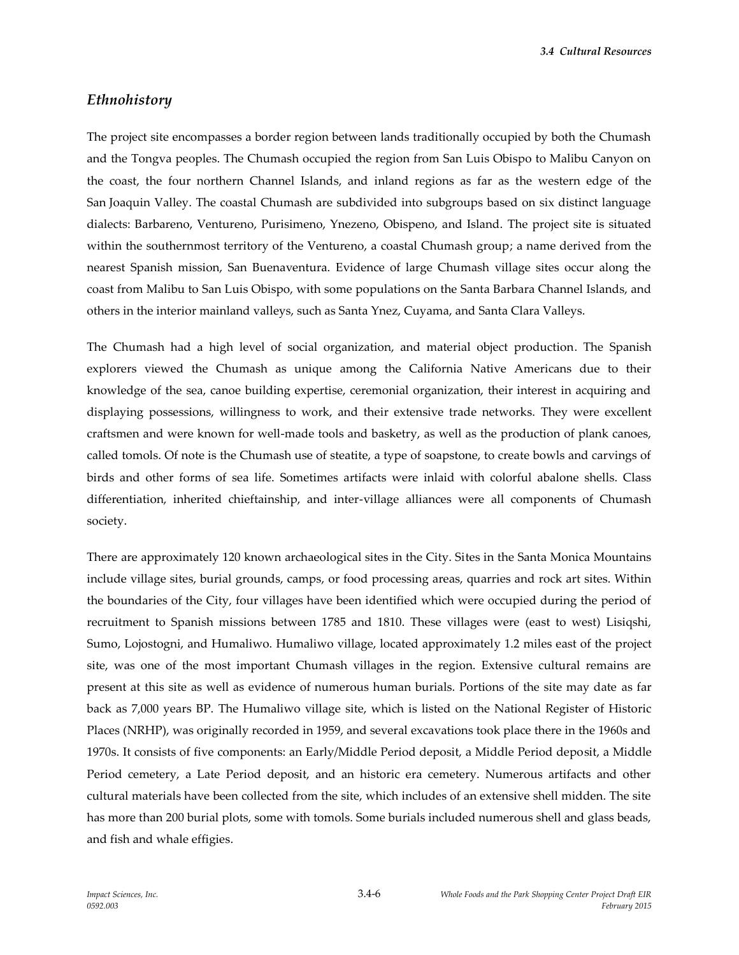#### *Ethnohistory*

The project site encompasses a border region between lands traditionally occupied by both the Chumash and the Tongva peoples. The Chumash occupied the region from San Luis Obispo to Malibu Canyon on the coast, the four northern Channel Islands, and inland regions as far as the western edge of the San Joaquin Valley. The coastal Chumash are subdivided into subgroups based on six distinct language dialects: Barbareno, Ventureno, Purisimeno, Ynezeno, Obispeno, and Island. The project site is situated within the southernmost territory of the Ventureno, a coastal Chumash group; a name derived from the nearest Spanish mission, San Buenaventura. Evidence of large Chumash village sites occur along the coast from Malibu to San Luis Obispo, with some populations on the Santa Barbara Channel Islands, and others in the interior mainland valleys, such as Santa Ynez, Cuyama, and Santa Clara Valleys.

The Chumash had a high level of social organization, and material object production. The Spanish explorers viewed the Chumash as unique among the California Native Americans due to their knowledge of the sea, canoe building expertise, ceremonial organization, their interest in acquiring and displaying possessions, willingness to work, and their extensive trade networks. They were excellent craftsmen and were known for well-made tools and basketry, as well as the production of plank canoes, called tomols. Of note is the Chumash use of steatite, a type of soapstone, to create bowls and carvings of birds and other forms of sea life. Sometimes artifacts were inlaid with colorful abalone shells. Class differentiation, inherited chieftainship, and inter-village alliances were all components of Chumash society.

There are approximately 120 known archaeological sites in the City. Sites in the Santa Monica Mountains include village sites, burial grounds, camps, or food processing areas, quarries and rock art sites. Within the boundaries of the City, four villages have been identified which were occupied during the period of recruitment to Spanish missions between 1785 and 1810. These villages were (east to west) Lisiqshi, Sumo, Lojostogni, and Humaliwo. Humaliwo village, located approximately 1.2 miles east of the project site, was one of the most important Chumash villages in the region. Extensive cultural remains are present at this site as well as evidence of numerous human burials. Portions of the site may date as far back as 7,000 years BP. The Humaliwo village site, which is listed on the National Register of Historic Places (NRHP), was originally recorded in 1959, and several excavations took place there in the 1960s and 1970s. It consists of five components: an Early/Middle Period deposit, a Middle Period deposit, a Middle Period cemetery, a Late Period deposit, and an historic era cemetery. Numerous artifacts and other cultural materials have been collected from the site, which includes of an extensive shell midden. The site has more than 200 burial plots, some with tomols. Some burials included numerous shell and glass beads, and fish and whale effigies.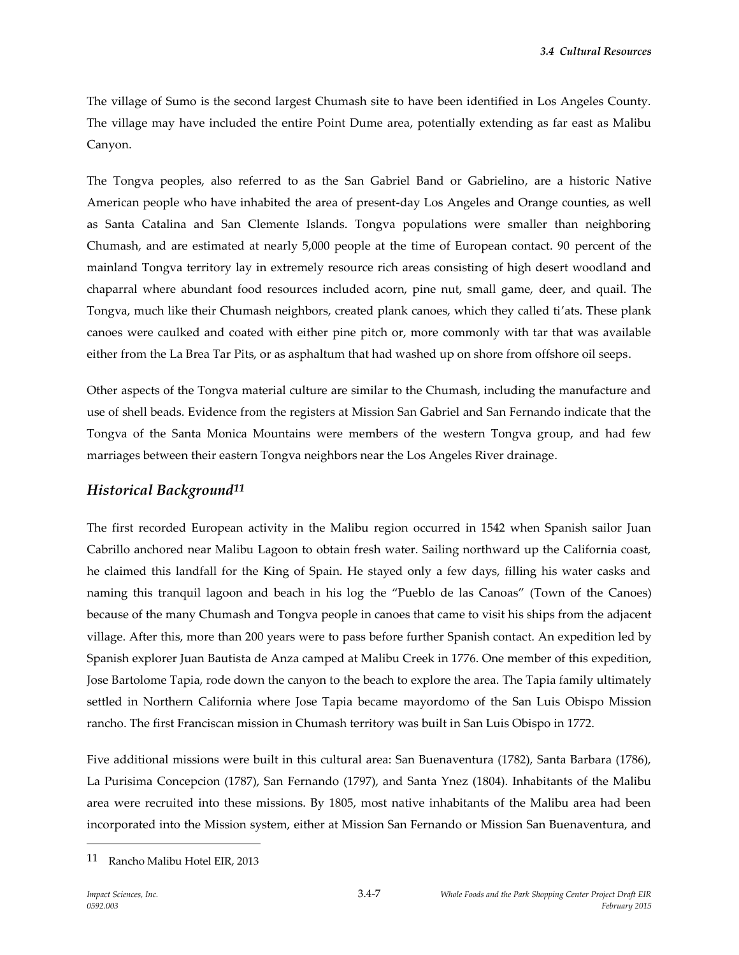The village of Sumo is the second largest Chumash site to have been identified in Los Angeles County. The village may have included the entire Point Dume area, potentially extending as far east as Malibu Canyon.

The Tongva peoples, also referred to as the San Gabriel Band or Gabrielino, are a historic Native American people who have inhabited the area of present-day Los Angeles and Orange counties, as well as Santa Catalina and San Clemente Islands. Tongva populations were smaller than neighboring Chumash, and are estimated at nearly 5,000 people at the time of European contact. 90 percent of the mainland Tongva territory lay in extremely resource rich areas consisting of high desert woodland and chaparral where abundant food resources included acorn, pine nut, small game, deer, and quail. The Tongva, much like their Chumash neighbors, created plank canoes, which they called ti'ats. These plank canoes were caulked and coated with either pine pitch or, more commonly with tar that was available either from the La Brea Tar Pits, or as asphaltum that had washed up on shore from offshore oil seeps.

Other aspects of the Tongva material culture are similar to the Chumash, including the manufacture and use of shell beads. Evidence from the registers at Mission San Gabriel and San Fernando indicate that the Tongva of the Santa Monica Mountains were members of the western Tongva group, and had few marriages between their eastern Tongva neighbors near the Los Angeles River drainage.

## *Historical Background11*

The first recorded European activity in the Malibu region occurred in 1542 when Spanish sailor Juan Cabrillo anchored near Malibu Lagoon to obtain fresh water. Sailing northward up the California coast, he claimed this landfall for the King of Spain. He stayed only a few days, filling his water casks and naming this tranquil lagoon and beach in his log the "Pueblo de las Canoas" (Town of the Canoes) because of the many Chumash and Tongva people in canoes that came to visit his ships from the adjacent village. After this, more than 200 years were to pass before further Spanish contact. An expedition led by Spanish explorer Juan Bautista de Anza camped at Malibu Creek in 1776. One member of this expedition, Jose Bartolome Tapia, rode down the canyon to the beach to explore the area. The Tapia family ultimately settled in Northern California where Jose Tapia became mayordomo of the San Luis Obispo Mission rancho. The first Franciscan mission in Chumash territory was built in San Luis Obispo in 1772.

Five additional missions were built in this cultural area: San Buenaventura (1782), Santa Barbara (1786), La Purisima Concepcion (1787), San Fernando (1797), and Santa Ynez (1804). Inhabitants of the Malibu area were recruited into these missions. By 1805, most native inhabitants of the Malibu area had been incorporated into the Mission system, either at Mission San Fernando or Mission San Buenaventura, and

<sup>11</sup> Rancho Malibu Hotel EIR, 2013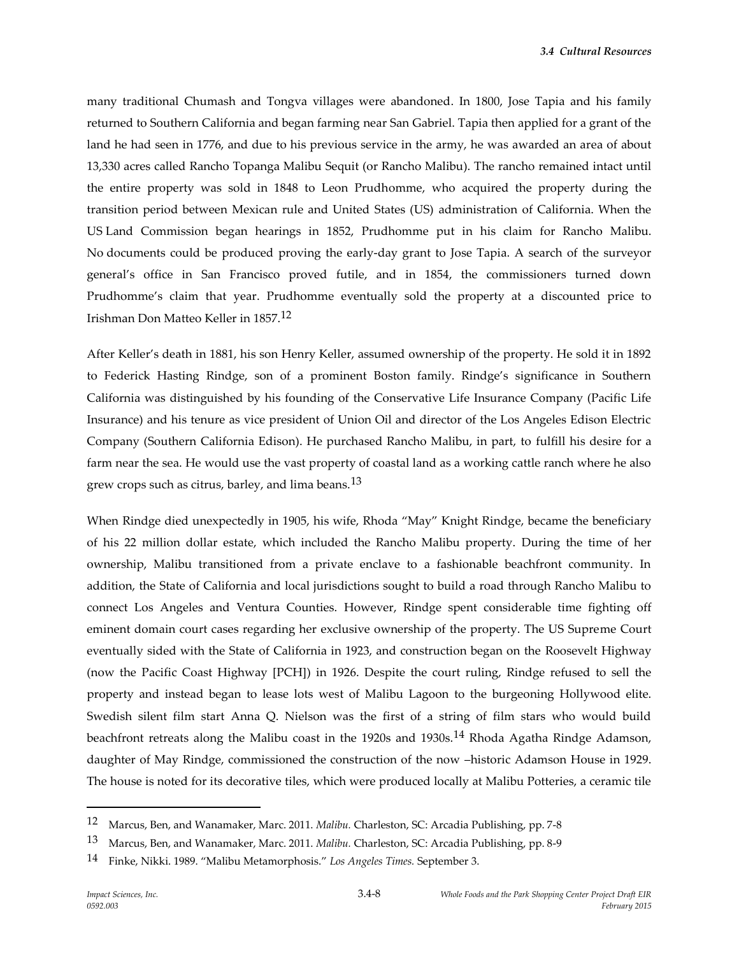many traditional Chumash and Tongva villages were abandoned. In 1800, Jose Tapia and his family returned to Southern California and began farming near San Gabriel. Tapia then applied for a grant of the land he had seen in 1776, and due to his previous service in the army, he was awarded an area of about 13,330 acres called Rancho Topanga Malibu Sequit (or Rancho Malibu). The rancho remained intact until the entire property was sold in 1848 to Leon Prudhomme, who acquired the property during the transition period between Mexican rule and United States (US) administration of California. When the US Land Commission began hearings in 1852, Prudhomme put in his claim for Rancho Malibu. No documents could be produced proving the early-day grant to Jose Tapia. A search of the surveyor general's office in San Francisco proved futile, and in 1854, the commissioners turned down Prudhomme's claim that year. Prudhomme eventually sold the property at a discounted price to Irishman Don Matteo Keller in 1857.12

After Keller's death in 1881, his son Henry Keller, assumed ownership of the property. He sold it in 1892 to Federick Hasting Rindge, son of a prominent Boston family. Rindge's significance in Southern California was distinguished by his founding of the Conservative Life Insurance Company (Pacific Life Insurance) and his tenure as vice president of Union Oil and director of the Los Angeles Edison Electric Company (Southern California Edison). He purchased Rancho Malibu, in part, to fulfill his desire for a farm near the sea. He would use the vast property of coastal land as a working cattle ranch where he also grew crops such as citrus, barley, and lima beans.<sup>13</sup>

When Rindge died unexpectedly in 1905, his wife, Rhoda "May" Knight Rindge, became the beneficiary of his 22 million dollar estate, which included the Rancho Malibu property. During the time of her ownership, Malibu transitioned from a private enclave to a fashionable beachfront community. In addition, the State of California and local jurisdictions sought to build a road through Rancho Malibu to connect Los Angeles and Ventura Counties. However, Rindge spent considerable time fighting off eminent domain court cases regarding her exclusive ownership of the property. The US Supreme Court eventually sided with the State of California in 1923, and construction began on the Roosevelt Highway (now the Pacific Coast Highway [PCH]) in 1926. Despite the court ruling, Rindge refused to sell the property and instead began to lease lots west of Malibu Lagoon to the burgeoning Hollywood elite. Swedish silent film start Anna Q. Nielson was the first of a string of film stars who would build beachfront retreats along the Malibu coast in the 1920s and 1930s.<sup>14</sup> Rhoda Agatha Rindge Adamson, daughter of May Rindge, commissioned the construction of the now –historic Adamson House in 1929. The house is noted for its decorative tiles, which were produced locally at Malibu Potteries, a ceramic tile

1

<sup>12</sup> Marcus, Ben, and Wanamaker, Marc. 2011. *Malibu.* Charleston, SC: Arcadia Publishing, pp. 7-8

<sup>13</sup> Marcus, Ben, and Wanamaker, Marc. 2011. *Malibu.* Charleston, SC: Arcadia Publishing, pp. 8-9

<sup>14</sup> Finke, Nikki. 1989. "Malibu Metamorphosis." *Los Angeles Times.* September 3.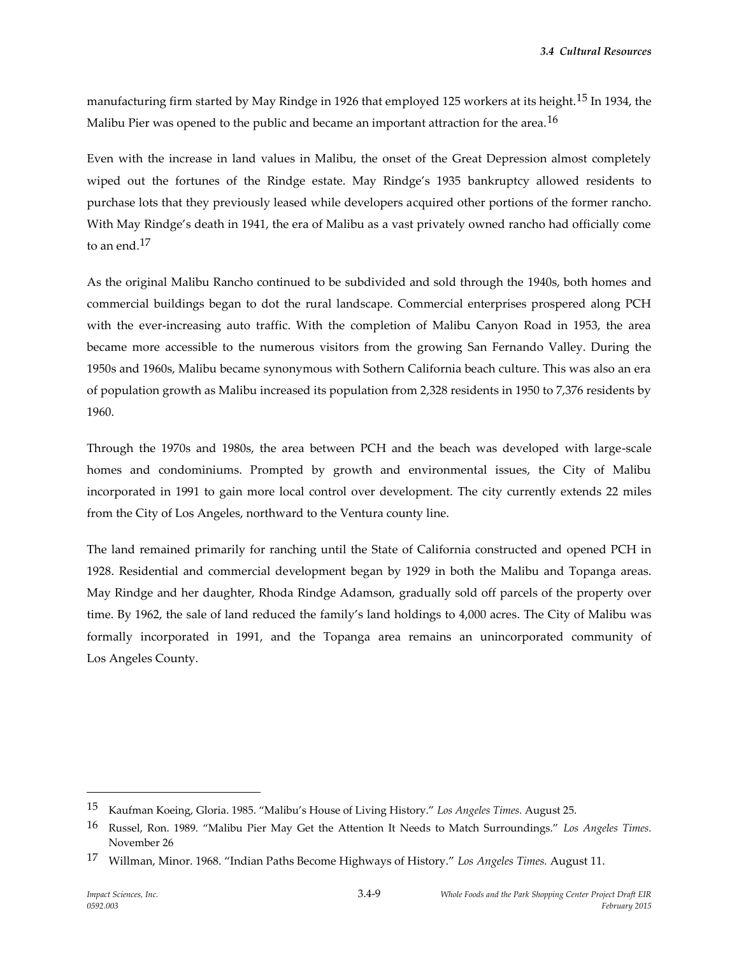manufacturing firm started by May Rindge in 1926 that employed 125 workers at its height.15 In 1934, the Malibu Pier was opened to the public and became an important attraction for the area.<sup>16</sup>

Even with the increase in land values in Malibu, the onset of the Great Depression almost completely wiped out the fortunes of the Rindge estate. May Rindge's 1935 bankruptcy allowed residents to purchase lots that they previously leased while developers acquired other portions of the former rancho. With May Rindge's death in 1941, the era of Malibu as a vast privately owned rancho had officially come to an end.17

As the original Malibu Rancho continued to be subdivided and sold through the 1940s, both homes and commercial buildings began to dot the rural landscape. Commercial enterprises prospered along PCH with the ever-increasing auto traffic. With the completion of Malibu Canyon Road in 1953, the area became more accessible to the numerous visitors from the growing San Fernando Valley. During the 1950s and 1960s, Malibu became synonymous with Sothern California beach culture. This was also an era of population growth as Malibu increased its population from 2,328 residents in 1950 to 7,376 residents by 1960.

Through the 1970s and 1980s, the area between PCH and the beach was developed with large-scale homes and condominiums. Prompted by growth and environmental issues, the City of Malibu incorporated in 1991 to gain more local control over development. The city currently extends 22 miles from the City of Los Angeles, northward to the Ventura county line.

The land remained primarily for ranching until the State of California constructed and opened PCH in 1928. Residential and commercial development began by 1929 in both the Malibu and Topanga areas. May Rindge and her daughter, Rhoda Rindge Adamson, gradually sold off parcels of the property over time. By 1962, the sale of land reduced the family's land holdings to 4,000 acres. The City of Malibu was formally incorporated in 1991, and the Topanga area remains an unincorporated community of Los Angeles County.

<sup>15</sup> Kaufman Koeing, Gloria. 1985. "Malibu's House of Living History." *Los Angeles Times.* August 25.

<sup>16</sup> Russel, Ron. 1989. "Malibu Pier May Get the Attention It Needs to Match Surroundings." *Los Angeles Times.*  November 26

<sup>17</sup> Willman, Minor. 1968. "Indian Paths Become Highways of History." *Los Angeles Times.* August 11.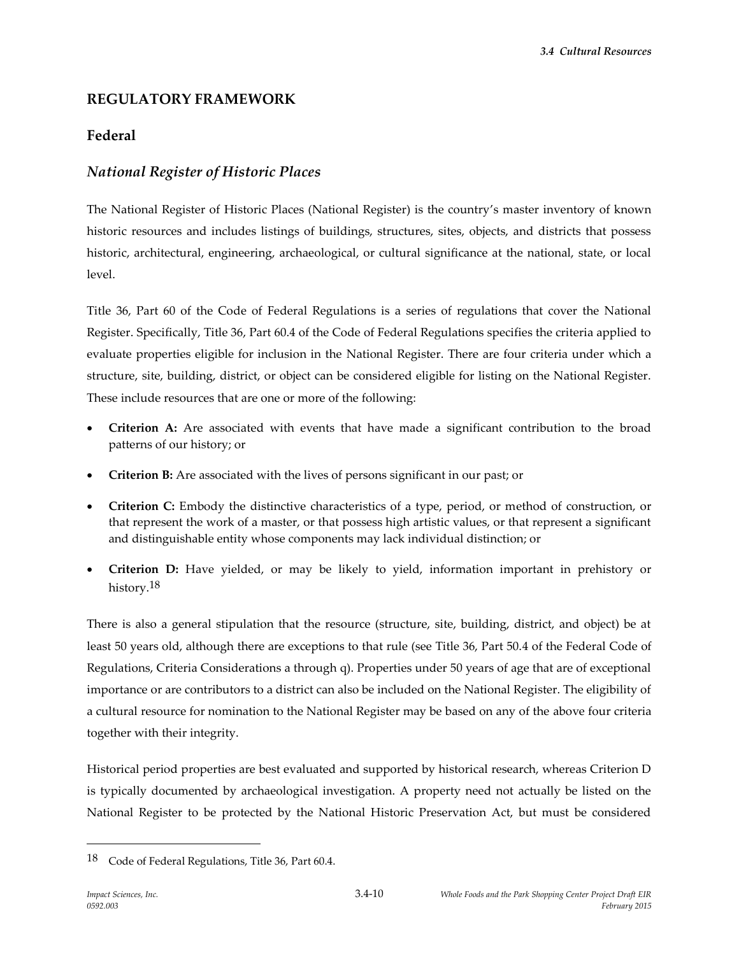# **REGULATORY FRAMEWORK**

# **Federal**

# *National Register of Historic Places*

The National Register of Historic Places (National Register) is the country's master inventory of known historic resources and includes listings of buildings, structures, sites, objects, and districts that possess historic, architectural, engineering, archaeological, or cultural significance at the national, state, or local level.

Title 36, Part 60 of the Code of Federal Regulations is a series of regulations that cover the National Register. Specifically, Title 36, Part 60.4 of the Code of Federal Regulations specifies the criteria applied to evaluate properties eligible for inclusion in the National Register. There are four criteria under which a structure, site, building, district, or object can be considered eligible for listing on the National Register. These include resources that are one or more of the following:

- **Criterion A:** Are associated with events that have made a significant contribution to the broad patterns of our history; or
- **Criterion B:** Are associated with the lives of persons significant in our past; or
- **Criterion C:** Embody the distinctive characteristics of a type, period, or method of construction, or that represent the work of a master, or that possess high artistic values, or that represent a significant and distinguishable entity whose components may lack individual distinction; or
- **Criterion D:** Have yielded, or may be likely to yield, information important in prehistory or history.<sup>18</sup>

There is also a general stipulation that the resource (structure, site, building, district, and object) be at least 50 years old, although there are exceptions to that rule (see Title 36, Part 50.4 of the Federal Code of Regulations, Criteria Considerations a through q). Properties under 50 years of age that are of exceptional importance or are contributors to a district can also be included on the National Register. The eligibility of a cultural resource for nomination to the National Register may be based on any of the above four criteria together with their integrity.

Historical period properties are best evaluated and supported by historical research, whereas Criterion D is typically documented by archaeological investigation. A property need not actually be listed on the National Register to be protected by the National Historic Preservation Act, but must be considered

<sup>&</sup>lt;sup>18</sup> Code of Federal Regulations, Title 36, Part 60.4.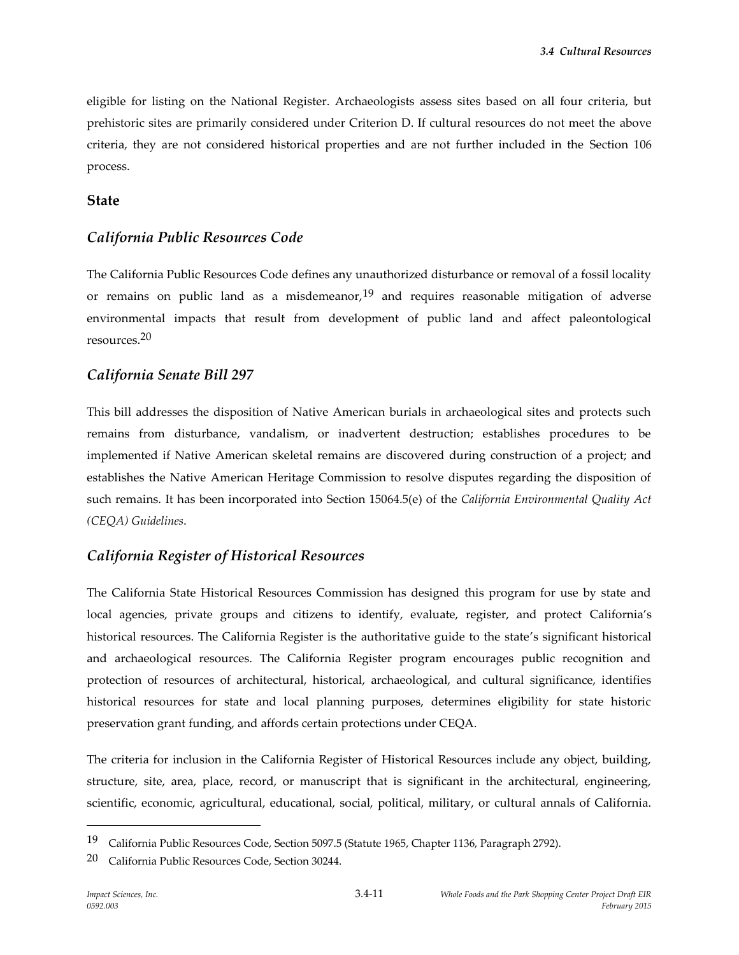eligible for listing on the National Register. Archaeologists assess sites based on all four criteria, but prehistoric sites are primarily considered under Criterion D. If cultural resources do not meet the above criteria, they are not considered historical properties and are not further included in the Section 106 process.

#### **State**

## *California Public Resources Code*

The California Public Resources Code defines any unauthorized disturbance or removal of a fossil locality or remains on public land as a misdemeanor,  $19$  and requires reasonable mitigation of adverse environmental impacts that result from development of public land and affect paleontological resources.20

## *California Senate Bill 297*

This bill addresses the disposition of Native American burials in archaeological sites and protects such remains from disturbance, vandalism, or inadvertent destruction; establishes procedures to be implemented if Native American skeletal remains are discovered during construction of a project; and establishes the Native American Heritage Commission to resolve disputes regarding the disposition of such remains. It has been incorporated into Section 15064.5(e) of the *California Environmental Quality Act (CEQA) Guidelines*.

## *California Register of Historical Resources*

The California State Historical Resources Commission has designed this program for use by state and local agencies, private groups and citizens to identify, evaluate, register, and protect California's historical resources. The California Register is the authoritative guide to the state's significant historical and archaeological resources. The California Register program encourages public recognition and protection of resources of architectural, historical, archaeological, and cultural significance, identifies historical resources for state and local planning purposes, determines eligibility for state historic preservation grant funding, and affords certain protections under CEQA.

The criteria for inclusion in the California Register of Historical Resources include any object, building, structure, site, area, place, record, or manuscript that is significant in the architectural, engineering, scientific, economic, agricultural, educational, social, political, military, or cultural annals of California.

<sup>19</sup> California Public Resources Code, Section 5097.5 (Statute 1965, Chapter 1136, Paragraph 2792).

<sup>20</sup> California Public Resources Code, Section 30244.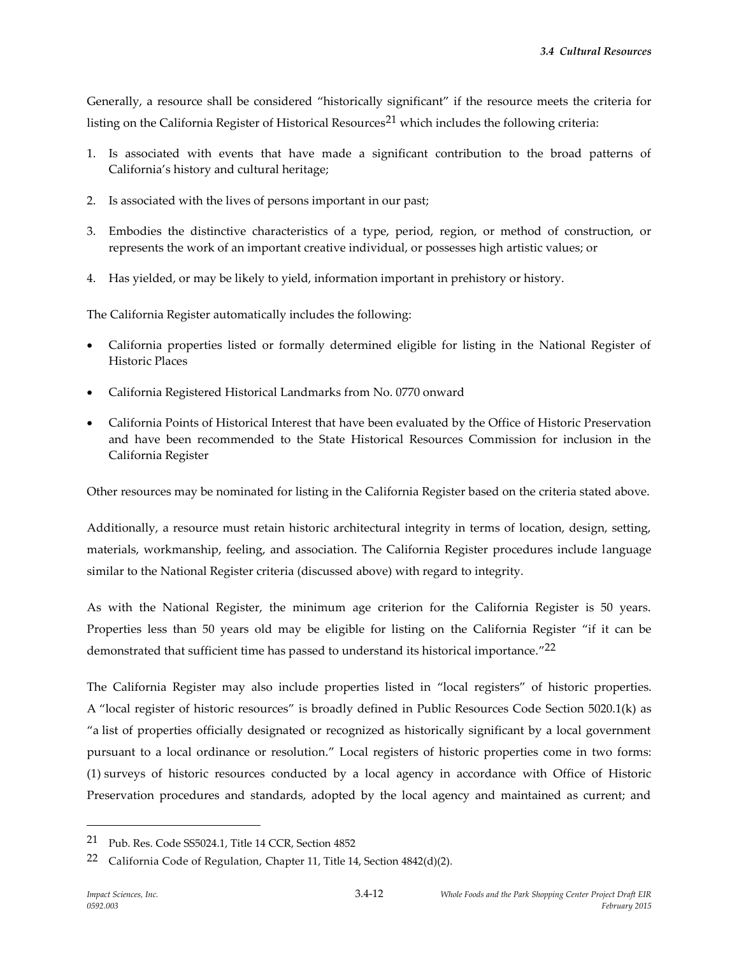Generally, a resource shall be considered "historically significant" if the resource meets the criteria for listing on the California Register of Historical Resources<sup>21</sup> which includes the following criteria:

- 1. Is associated with events that have made a significant contribution to the broad patterns of California's history and cultural heritage;
- 2. Is associated with the lives of persons important in our past;
- 3. Embodies the distinctive characteristics of a type, period, region, or method of construction, or represents the work of an important creative individual, or possesses high artistic values; or
- 4. Has yielded, or may be likely to yield, information important in prehistory or history.

The California Register automatically includes the following:

- California properties listed or formally determined eligible for listing in the National Register of Historic Places
- California Registered Historical Landmarks from No. 0770 onward
- California Points of Historical Interest that have been evaluated by the Office of Historic Preservation and have been recommended to the State Historical Resources Commission for inclusion in the California Register

Other resources may be nominated for listing in the California Register based on the criteria stated above.

Additionally, a resource must retain historic architectural integrity in terms of location, design, setting, materials, workmanship, feeling, and association. The California Register procedures include language similar to the National Register criteria (discussed above) with regard to integrity.

As with the National Register, the minimum age criterion for the California Register is 50 years. Properties less than 50 years old may be eligible for listing on the California Register "if it can be demonstrated that sufficient time has passed to understand its historical importance." 22

The California Register may also include properties listed in "local registers" of historic properties. A "local register of historic resources" is broadly defined in Public Resources Code Section 5020.1(k) as "a list of properties officially designated or recognized as historically significant by a local government pursuant to a local ordinance or resolution." Local registers of historic properties come in two forms: (1) surveys of historic resources conducted by a local agency in accordance with Office of Historic Preservation procedures and standards, adopted by the local agency and maintained as current; and

<sup>21</sup> Pub. Res. Code SS5024.1, Title 14 CCR, Section 4852

<sup>&</sup>lt;sup>22</sup> California Code of Regulation, Chapter 11, Title 14, Section  $4842(d)(2)$ .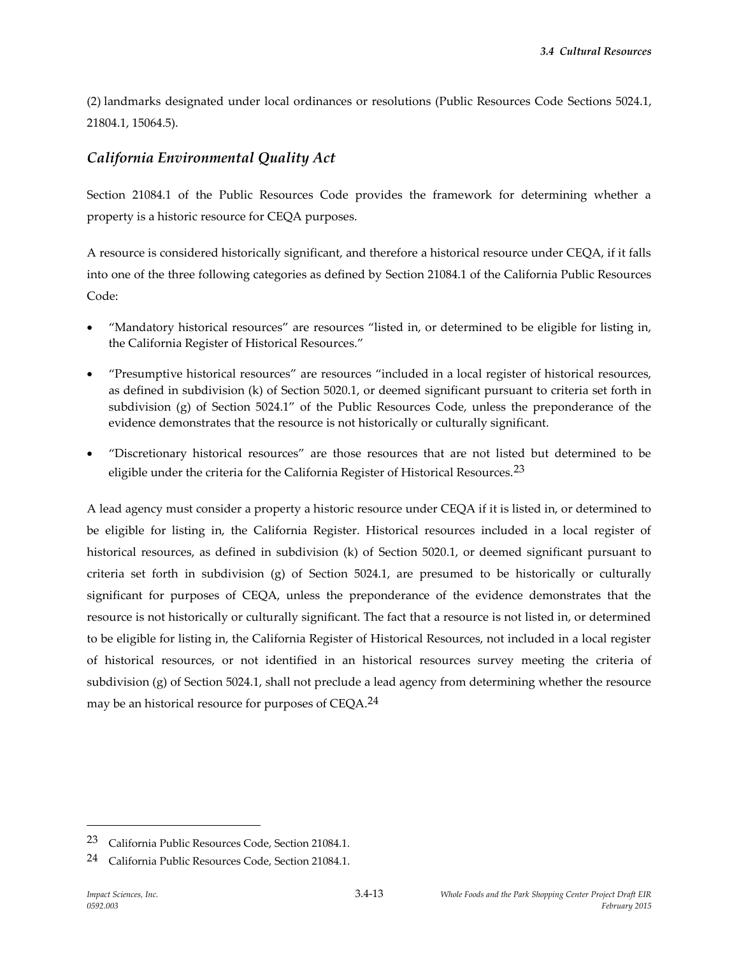(2) landmarks designated under local ordinances or resolutions (Public Resources Code Sections 5024.1, 21804.1, 15064.5).

# *California Environmental Quality Act*

Section 21084.1 of the Public Resources Code provides the framework for determining whether a property is a historic resource for CEQA purposes.

A resource is considered historically significant, and therefore a historical resource under CEQA, if it falls into one of the three following categories as defined by Section 21084.1 of the California Public Resources Code:

- "Mandatory historical resources" are resources "listed in, or determined to be eligible for listing in, the California Register of Historical Resources."
- "Presumptive historical resources" are resources "included in a local register of historical resources, as defined in subdivision (k) of Section 5020.1, or deemed significant pursuant to criteria set forth in subdivision (g) of Section 5024.1" of the Public Resources Code, unless the preponderance of the evidence demonstrates that the resource is not historically or culturally significant.
- "Discretionary historical resources" are those resources that are not listed but determined to be eligible under the criteria for the California Register of Historical Resources.<sup>23</sup>

A lead agency must consider a property a historic resource under CEQA if it is listed in, or determined to be eligible for listing in, the California Register. Historical resources included in a local register of historical resources, as defined in subdivision (k) of Section 5020.1, or deemed significant pursuant to criteria set forth in subdivision (g) of Section 5024.1, are presumed to be historically or culturally significant for purposes of CEQA, unless the preponderance of the evidence demonstrates that the resource is not historically or culturally significant. The fact that a resource is not listed in, or determined to be eligible for listing in, the California Register of Historical Resources, not included in a local register of historical resources, or not identified in an historical resources survey meeting the criteria of subdivision (g) of Section 5024.1, shall not preclude a lead agency from determining whether the resource may be an historical resource for purposes of CEQA.<sup>24</sup>

<sup>23</sup> California Public Resources Code, Section 21084.1.

<sup>24</sup> California Public Resources Code, Section 21084.1.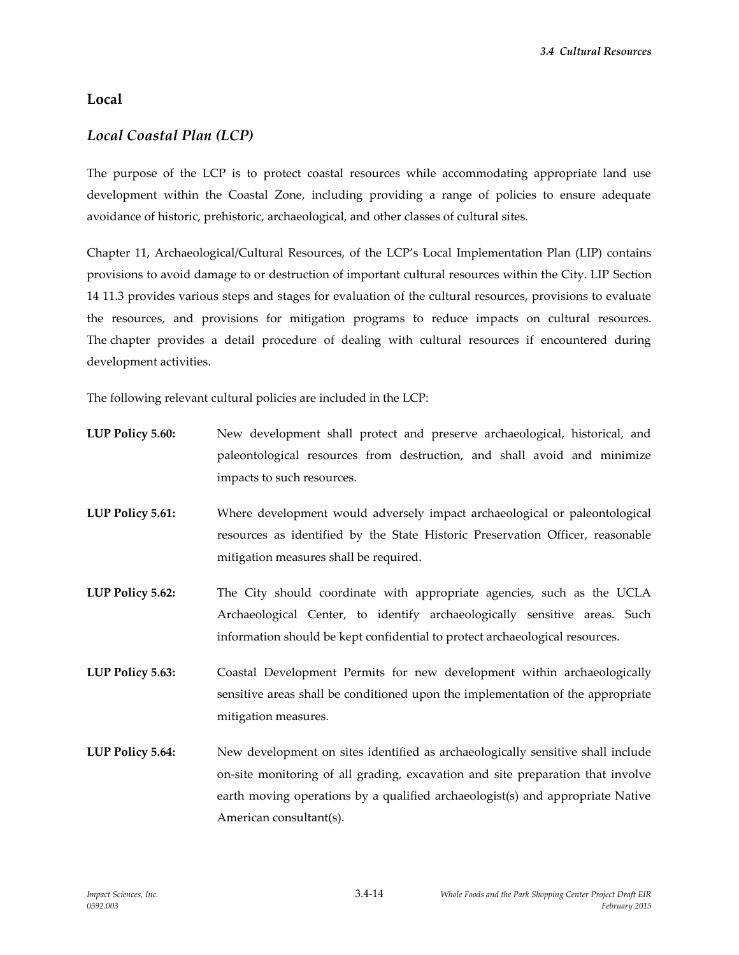## **Local**

## *Local Coastal Plan (LCP)*

The purpose of the LCP is to protect coastal resources while accommodating appropriate land use development within the Coastal Zone, including providing a range of policies to ensure adequate avoidance of historic, prehistoric, archaeological, and other classes of cultural sites.

Chapter 11, Archaeological/Cultural Resources, of the LCP's Local Implementation Plan (LIP) contains provisions to avoid damage to or destruction of important cultural resources within the City. LIP Section 14 11.3 provides various steps and stages for evaluation of the cultural resources, provisions to evaluate the resources, and provisions for mitigation programs to reduce impacts on cultural resources. The chapter provides a detail procedure of dealing with cultural resources if encountered during development activities.

The following relevant cultural policies are included in the LCP:

| <b>LUP Policy 5.60:</b> | New development shall protect and preserve archaeological, historical, and<br>paleontological resources from destruction, and shall avoid and minimize<br>impacts to such resources.                                                                                            |
|-------------------------|---------------------------------------------------------------------------------------------------------------------------------------------------------------------------------------------------------------------------------------------------------------------------------|
| <b>LUP Policy 5.61:</b> | Where development would adversely impact archaeological or paleontological<br>resources as identified by the State Historic Preservation Officer, reasonable<br>mitigation measures shall be required.                                                                          |
| <b>LUP Policy 5.62:</b> | The City should coordinate with appropriate agencies, such as the UCLA<br>Archaeological Center, to identify archaeologically sensitive areas. Such<br>information should be kept confidential to protect archaeological resources.                                             |
| <b>LUP Policy 5.63:</b> | Coastal Development Permits for new development within archaeologically<br>sensitive areas shall be conditioned upon the implementation of the appropriate<br>mitigation measures.                                                                                              |
| <b>LUP Policy 5.64:</b> | New development on sites identified as archaeologically sensitive shall include<br>on-site monitoring of all grading, excavation and site preparation that involve<br>earth moving operations by a qualified archaeologist(s) and appropriate Native<br>American consultant(s). |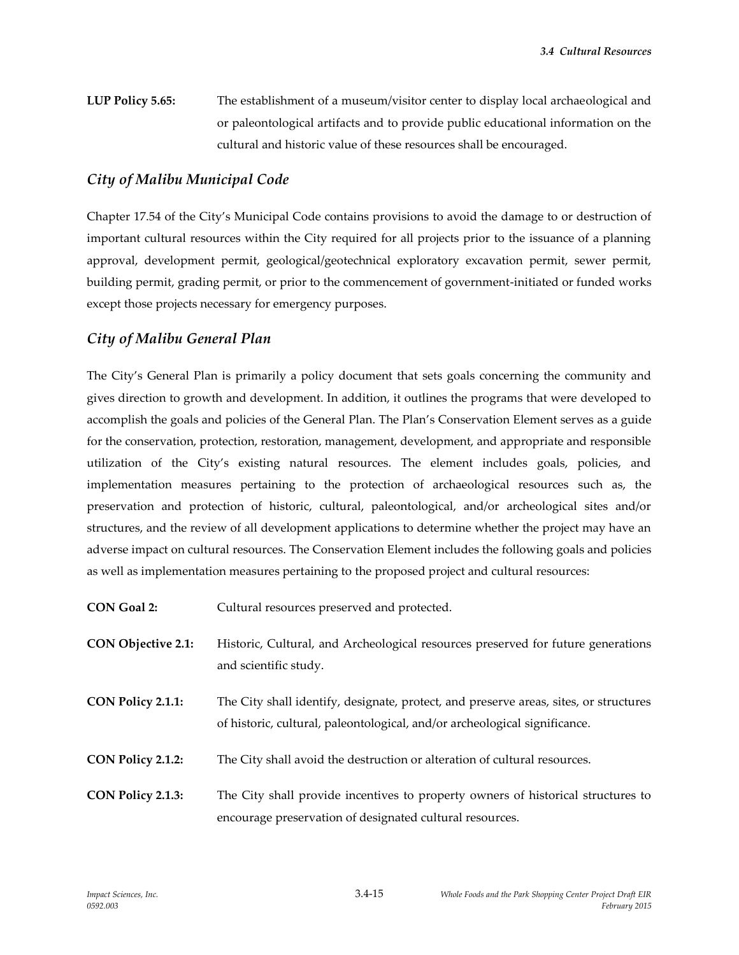**LUP Policy 5.65:** The establishment of a museum/visitor center to display local archaeological and or paleontological artifacts and to provide public educational information on the cultural and historic value of these resources shall be encouraged.

## *City of Malibu Municipal Code*

Chapter 17.54 of the City's Municipal Code contains provisions to avoid the damage to or destruction of important cultural resources within the City required for all projects prior to the issuance of a planning approval, development permit, geological/geotechnical exploratory excavation permit, sewer permit, building permit, grading permit, or prior to the commencement of government-initiated or funded works except those projects necessary for emergency purposes.

## *City of Malibu General Plan*

The City's General Plan is primarily a policy document that sets goals concerning the community and gives direction to growth and development. In addition, it outlines the programs that were developed to accomplish the goals and policies of the General Plan. The Plan's Conservation Element serves as a guide for the conservation, protection, restoration, management, development, and appropriate and responsible utilization of the City's existing natural resources. The element includes goals, policies, and implementation measures pertaining to the protection of archaeological resources such as, the preservation and protection of historic, cultural, paleontological, and/or archeological sites and/or structures, and the review of all development applications to determine whether the project may have an adverse impact on cultural resources. The Conservation Element includes the following goals and policies as well as implementation measures pertaining to the proposed project and cultural resources:

**CON Goal 2:** Cultural resources preserved and protected.

- **CON Objective 2.1:** Historic, Cultural, and Archeological resources preserved for future generations and scientific study.
- **CON Policy 2.1.1:** The City shall identify, designate, protect, and preserve areas, sites, or structures of historic, cultural, paleontological, and/or archeological significance.
- **CON Policy 2.1.2:** The City shall avoid the destruction or alteration of cultural resources.
- **CON Policy 2.1.3:** The City shall provide incentives to property owners of historical structures to encourage preservation of designated cultural resources.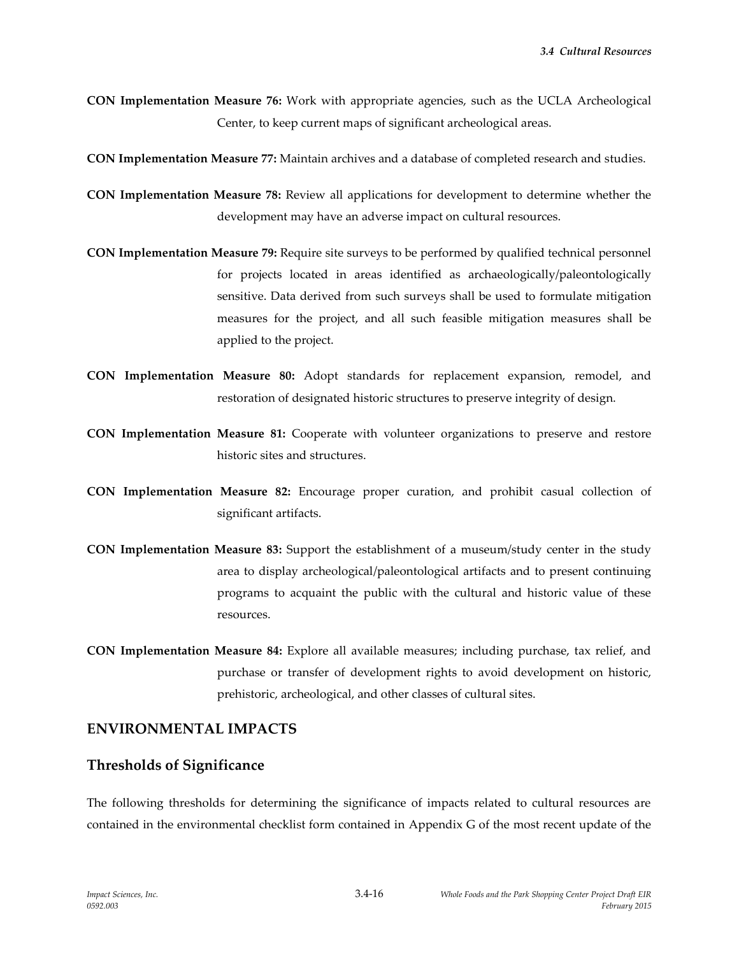**CON Implementation Measure 76:** Work with appropriate agencies, such as the UCLA Archeological Center, to keep current maps of significant archeological areas.

**CON Implementation Measure 77:** Maintain archives and a database of completed research and studies.

- **CON Implementation Measure 78:** Review all applications for development to determine whether the development may have an adverse impact on cultural resources.
- **CON Implementation Measure 79:** Require site surveys to be performed by qualified technical personnel for projects located in areas identified as archaeologically/paleontologically sensitive. Data derived from such surveys shall be used to formulate mitigation measures for the project, and all such feasible mitigation measures shall be applied to the project.
- **CON Implementation Measure 80:** Adopt standards for replacement expansion, remodel, and restoration of designated historic structures to preserve integrity of design.
- **CON Implementation Measure 81:** Cooperate with volunteer organizations to preserve and restore historic sites and structures.
- **CON Implementation Measure 82:** Encourage proper curation, and prohibit casual collection of significant artifacts.
- **CON Implementation Measure 83:** Support the establishment of a museum/study center in the study area to display archeological/paleontological artifacts and to present continuing programs to acquaint the public with the cultural and historic value of these resources.
- **CON Implementation Measure 84:** Explore all available measures; including purchase, tax relief, and purchase or transfer of development rights to avoid development on historic, prehistoric, archeological, and other classes of cultural sites.

## **ENVIRONMENTAL IMPACTS**

#### **Thresholds of Significance**

The following thresholds for determining the significance of impacts related to cultural resources are contained in the environmental checklist form contained in Appendix G of the most recent update of the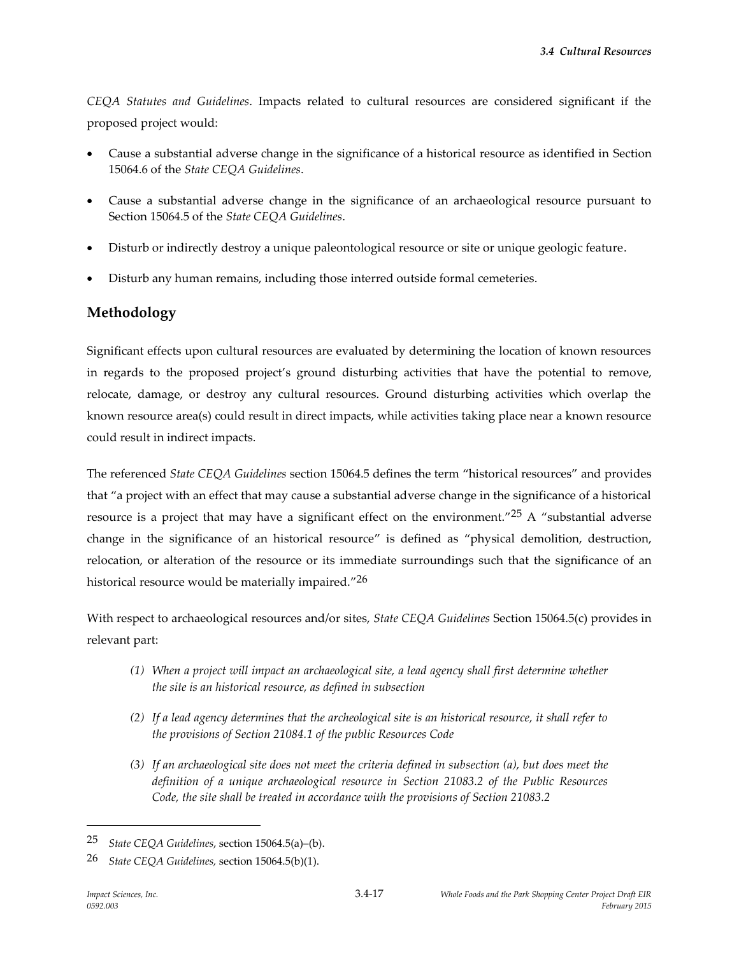*CEQA Statutes and Guidelines*. Impacts related to cultural resources are considered significant if the proposed project would:

- Cause a substantial adverse change in the significance of a historical resource as identified in Section 15064.6 of the *State CEQA Guidelines*.
- Cause a substantial adverse change in the significance of an archaeological resource pursuant to Section 15064.5 of the *State CEQA Guidelines*.
- Disturb or indirectly destroy a unique paleontological resource or site or unique geologic feature.
- Disturb any human remains, including those interred outside formal cemeteries.

## **Methodology**

Significant effects upon cultural resources are evaluated by determining the location of known resources in regards to the proposed project's ground disturbing activities that have the potential to remove, relocate, damage, or destroy any cultural resources. Ground disturbing activities which overlap the known resource area(s) could result in direct impacts, while activities taking place near a known resource could result in indirect impacts.

The referenced *State CEQA Guidelines* section 15064.5 defines the term "historical resources" and provides that "a project with an effect that may cause a substantial adverse change in the significance of a historical resource is a project that may have a significant effect on the environment."<sup>25</sup> A "substantial adverse change in the significance of an historical resource" is defined as "physical demolition, destruction, relocation, or alteration of the resource or its immediate surroundings such that the significance of an historical resource would be materially impaired." $^{26}$ 

With respect to archaeological resources and/or sites, *State CEQA Guidelines* Section 15064.5(c) provides in relevant part:

- *(1) When a project will impact an archaeological site, a lead agency shall first determine whether the site is an historical resource, as defined in subsection*
- *(2) If a lead agency determines that the archeological site is an historical resource, it shall refer to the provisions of Section 21084.1 of the public Resources Code*
- *(3) If an archaeological site does not meet the criteria defined in subsection (a), but does meet the definition of a unique archaeological resource in Section 21083.2 of the Public Resources Code, the site shall be treated in accordance with the provisions of Section 21083.2*

<sup>25</sup> *State CEQA Guidelines*, section 15064.5(a)–(b).

<sup>26</sup> *State CEQA Guidelines,* section 15064.5(b)(1).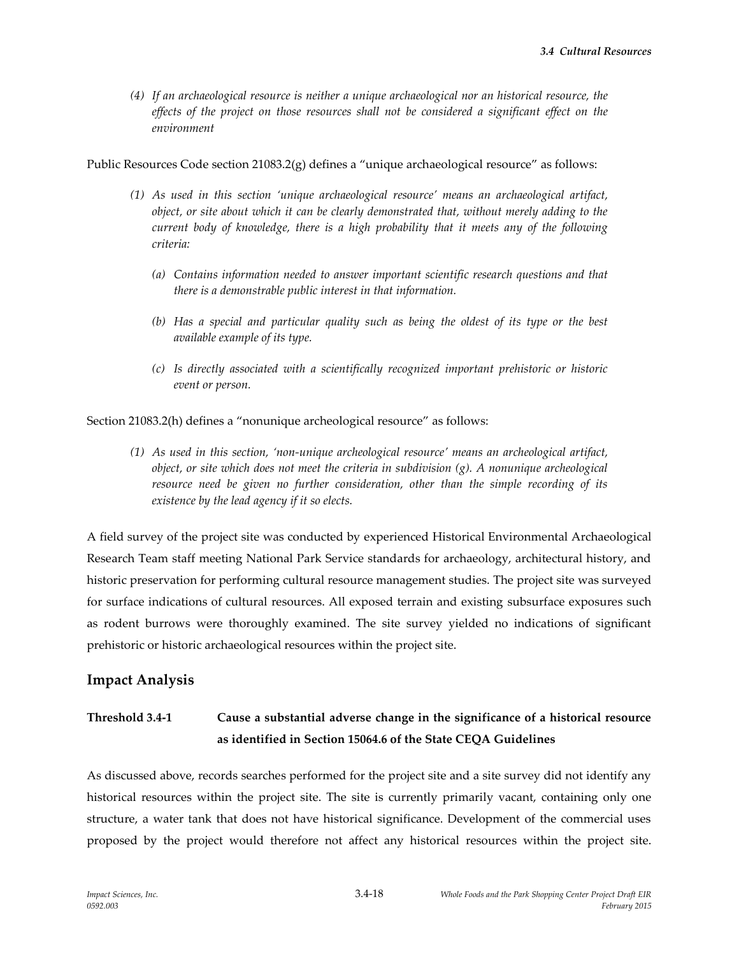*(4) If an archaeological resource is neither a unique archaeological nor an historical resource, the effects of the project on those resources shall not be considered a significant effect on the environment*

Public Resources Code section 21083.2(g) defines a "unique archaeological resource" as follows:

- *(1) As used in this section 'unique archaeological resource' means an archaeological artifact, object, or site about which it can be clearly demonstrated that, without merely adding to the current body of knowledge, there is a high probability that it meets any of the following criteria:*
	- *(a) Contains information needed to answer important scientific research questions and that there is a demonstrable public interest in that information.*
	- *(b) Has a special and particular quality such as being the oldest of its type or the best available example of its type.*
	- *(c) Is directly associated with a scientifically recognized important prehistoric or historic event or person.*

Section 21083.2(h) defines a "nonunique archeological resource" as follows:

*(1) As used in this section, 'non-unique archeological resource' means an archeological artifact, object, or site which does not meet the criteria in subdivision (g). A nonunique archeological resource need be given no further consideration, other than the simple recording of its existence by the lead agency if it so elects.*

A field survey of the project site was conducted by experienced Historical Environmental Archaeological Research Team staff meeting National Park Service standards for archaeology, architectural history, and historic preservation for performing cultural resource management studies. The project site was surveyed for surface indications of cultural resources. All exposed terrain and existing subsurface exposures such as rodent burrows were thoroughly examined. The site survey yielded no indications of significant prehistoric or historic archaeological resources within the project site.

#### **Impact Analysis**

# **Threshold 3.4-1 Cause a substantial adverse change in the significance of a historical resource as identified in Section 15064.6 of the State CEQA Guidelines**

As discussed above, records searches performed for the project site and a site survey did not identify any historical resources within the project site. The site is currently primarily vacant, containing only one structure, a water tank that does not have historical significance. Development of the commercial uses proposed by the project would therefore not affect any historical resources within the project site.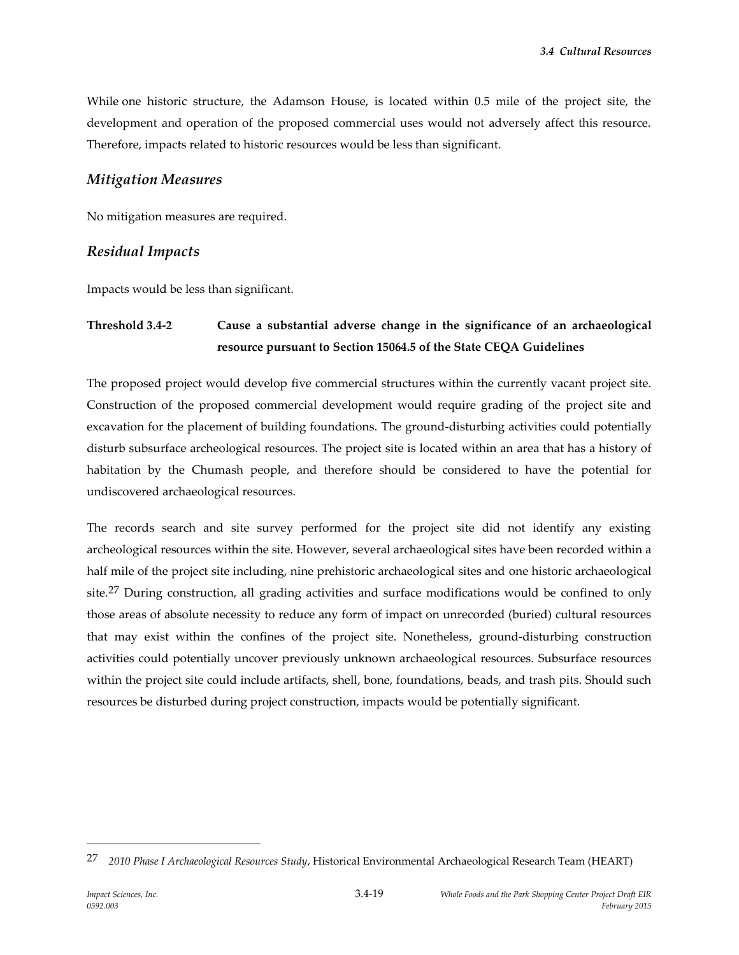While one historic structure, the Adamson House, is located within 0.5 mile of the project site, the development and operation of the proposed commercial uses would not adversely affect this resource. Therefore, impacts related to historic resources would be less than significant.

### *Mitigation Measures*

No mitigation measures are required.

### *Residual Impacts*

Impacts would be less than significant.

# **Threshold 3.4-2 Cause a substantial adverse change in the significance of an archaeological resource pursuant to Section 15064.5 of the State CEQA Guidelines**

The proposed project would develop five commercial structures within the currently vacant project site. Construction of the proposed commercial development would require grading of the project site and excavation for the placement of building foundations. The ground-disturbing activities could potentially disturb subsurface archeological resources. The project site is located within an area that has a history of habitation by the Chumash people, and therefore should be considered to have the potential for undiscovered archaeological resources.

The records search and site survey performed for the project site did not identify any existing archeological resources within the site. However, several archaeological sites have been recorded within a half mile of the project site including, nine prehistoric archaeological sites and one historic archaeological site.<sup>27</sup> During construction, all grading activities and surface modifications would be confined to only those areas of absolute necessity to reduce any form of impact on unrecorded (buried) cultural resources that may exist within the confines of the project site. Nonetheless, ground-disturbing construction activities could potentially uncover previously unknown archaeological resources. Subsurface resources within the project site could include artifacts, shell, bone, foundations, beads, and trash pits. Should such resources be disturbed during project construction, impacts would be potentially significant.

<sup>27</sup> *2010 Phase I Archaeological Resources Study*, Historical Environmental Archaeological Research Team (HEART)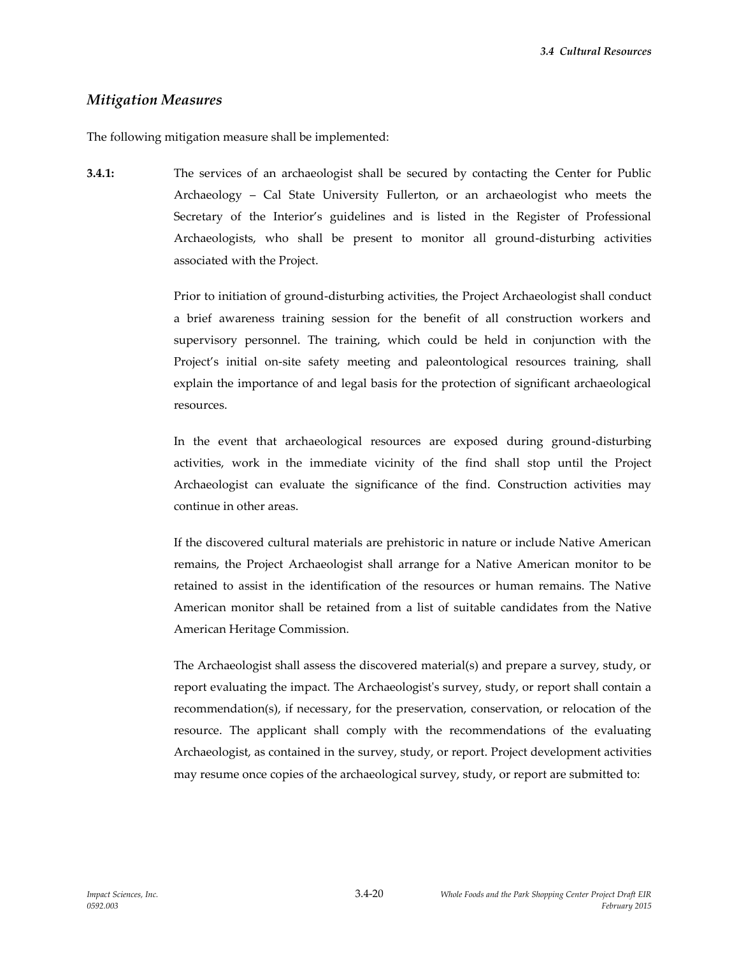#### *Mitigation Measures*

The following mitigation measure shall be implemented:

**3.4.1:** The services of an archaeologist shall be secured by contacting the Center for Public Archaeology – Cal State University Fullerton, or an archaeologist who meets the Secretary of the Interior's guidelines and is listed in the Register of Professional Archaeologists, who shall be present to monitor all ground-disturbing activities associated with the Project.

> Prior to initiation of ground-disturbing activities, the Project Archaeologist shall conduct a brief awareness training session for the benefit of all construction workers and supervisory personnel. The training, which could be held in conjunction with the Project's initial on-site safety meeting and paleontological resources training, shall explain the importance of and legal basis for the protection of significant archaeological resources.

> In the event that archaeological resources are exposed during ground-disturbing activities, work in the immediate vicinity of the find shall stop until the Project Archaeologist can evaluate the significance of the find. Construction activities may continue in other areas.

> If the discovered cultural materials are prehistoric in nature or include Native American remains, the Project Archaeologist shall arrange for a Native American monitor to be retained to assist in the identification of the resources or human remains. The Native American monitor shall be retained from a list of suitable candidates from the Native American Heritage Commission.

> The Archaeologist shall assess the discovered material(s) and prepare a survey, study, or report evaluating the impact. The Archaeologist's survey, study, or report shall contain a recommendation(s), if necessary, for the preservation, conservation, or relocation of the resource. The applicant shall comply with the recommendations of the evaluating Archaeologist, as contained in the survey, study, or report. Project development activities may resume once copies of the archaeological survey, study, or report are submitted to: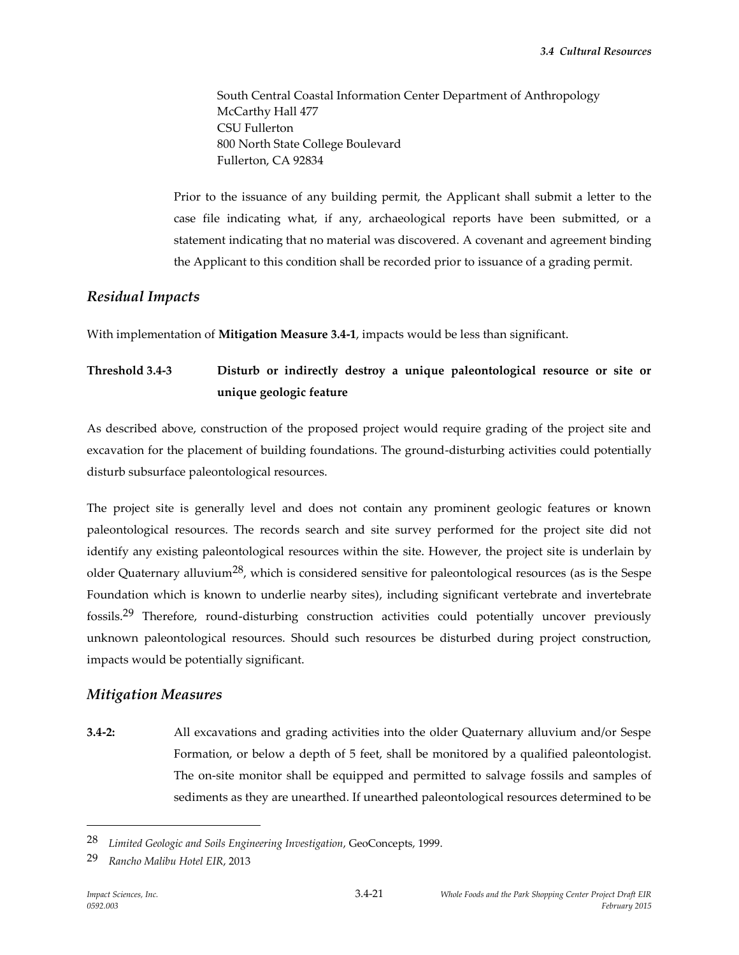South Central Coastal Information Center Department of Anthropology McCarthy Hall 477 CSU Fullerton 800 North State College Boulevard Fullerton, CA 92834

Prior to the issuance of any building permit, the Applicant shall submit a letter to the case file indicating what, if any, archaeological reports have been submitted, or a statement indicating that no material was discovered. A covenant and agreement binding the Applicant to this condition shall be recorded prior to issuance of a grading permit.

#### *Residual Impacts*

With implementation of **Mitigation Measure 3.4-1**, impacts would be less than significant.

# **Threshold 3.4-3 Disturb or indirectly destroy a unique paleontological resource or site or unique geologic feature**

As described above, construction of the proposed project would require grading of the project site and excavation for the placement of building foundations. The ground-disturbing activities could potentially disturb subsurface paleontological resources.

The project site is generally level and does not contain any prominent geologic features or known paleontological resources. The records search and site survey performed for the project site did not identify any existing paleontological resources within the site. However, the project site is underlain by older Quaternary alluvium<sup>28</sup>, which is considered sensitive for paleontological resources (as is the Sespe Foundation which is known to underlie nearby sites), including significant vertebrate and invertebrate fossils.29 Therefore, round-disturbing construction activities could potentially uncover previously unknown paleontological resources. Should such resources be disturbed during project construction, impacts would be potentially significant.

#### *Mitigation Measures*

**3.4-2:** All excavations and grading activities into the older Quaternary alluvium and/or Sespe Formation, or below a depth of 5 feet, shall be monitored by a qualified paleontologist. The on-site monitor shall be equipped and permitted to salvage fossils and samples of sediments as they are unearthed. If unearthed paleontological resources determined to be

<sup>28</sup> *Limited Geologic and Soils Engineering Investigation*, GeoConcepts, 1999.

<sup>29</sup> *Rancho Malibu Hotel EIR*, 2013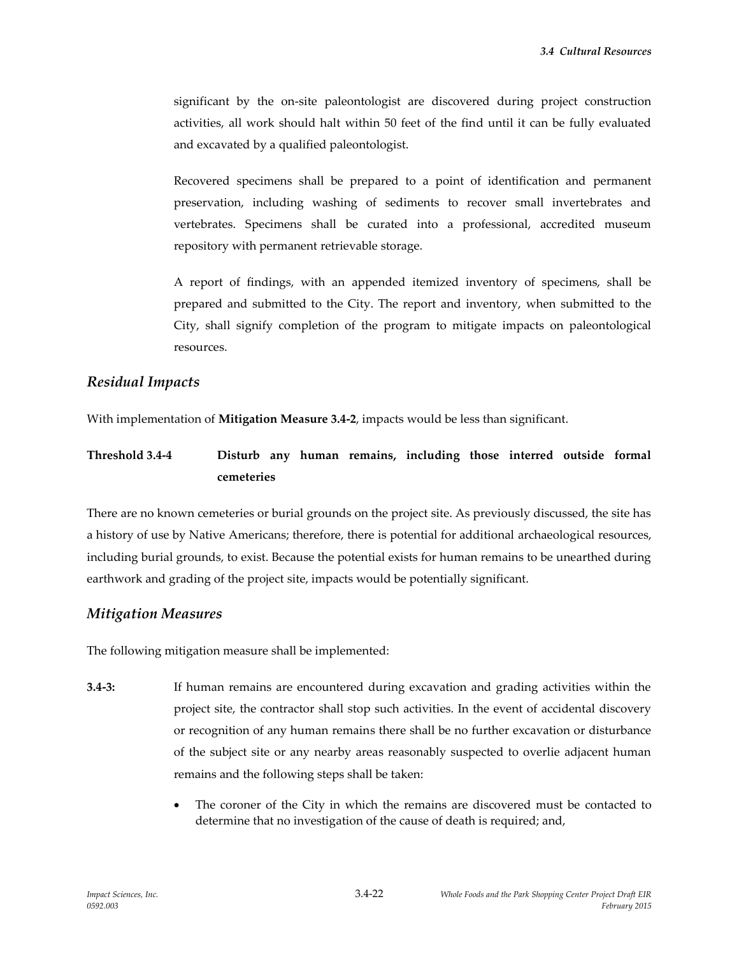significant by the on-site paleontologist are discovered during project construction activities, all work should halt within 50 feet of the find until it can be fully evaluated and excavated by a qualified paleontologist.

Recovered specimens shall be prepared to a point of identification and permanent preservation, including washing of sediments to recover small invertebrates and vertebrates. Specimens shall be curated into a professional, accredited museum repository with permanent retrievable storage.

A report of findings, with an appended itemized inventory of specimens, shall be prepared and submitted to the City. The report and inventory, when submitted to the City, shall signify completion of the program to mitigate impacts on paleontological resources.

### *Residual Impacts*

With implementation of **Mitigation Measure 3.4-2**, impacts would be less than significant.

# **Threshold 3.4-4 Disturb any human remains, including those interred outside formal cemeteries**

There are no known cemeteries or burial grounds on the project site. As previously discussed, the site has a history of use by Native Americans; therefore, there is potential for additional archaeological resources, including burial grounds, to exist. Because the potential exists for human remains to be unearthed during earthwork and grading of the project site, impacts would be potentially significant.

## *Mitigation Measures*

The following mitigation measure shall be implemented:

- **3.4-3:** If human remains are encountered during excavation and grading activities within the project site, the contractor shall stop such activities. In the event of accidental discovery or recognition of any human remains there shall be no further excavation or disturbance of the subject site or any nearby areas reasonably suspected to overlie adjacent human remains and the following steps shall be taken:
	- The coroner of the City in which the remains are discovered must be contacted to determine that no investigation of the cause of death is required; and,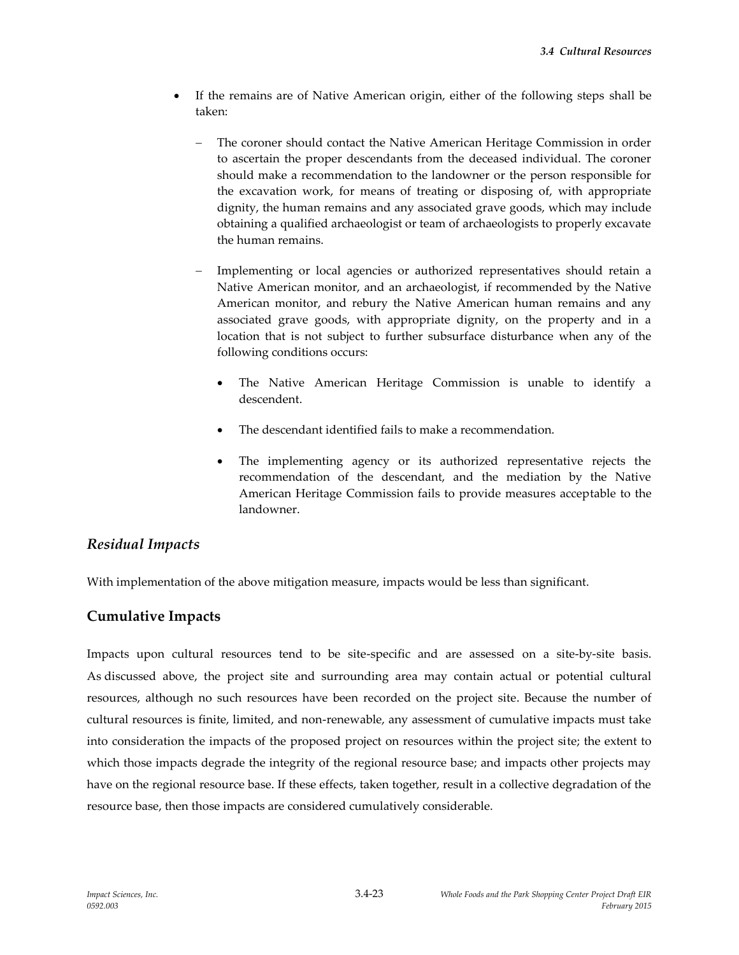- If the remains are of Native American origin, either of the following steps shall be taken:
	- The coroner should contact the Native American Heritage Commission in order to ascertain the proper descendants from the deceased individual. The coroner should make a recommendation to the landowner or the person responsible for the excavation work, for means of treating or disposing of, with appropriate dignity, the human remains and any associated grave goods, which may include obtaining a qualified archaeologist or team of archaeologists to properly excavate the human remains.
	- Implementing or local agencies or authorized representatives should retain a Native American monitor, and an archaeologist, if recommended by the Native American monitor, and rebury the Native American human remains and any associated grave goods, with appropriate dignity, on the property and in a location that is not subject to further subsurface disturbance when any of the following conditions occurs:
		- The Native American Heritage Commission is unable to identify a descendent.
		- The descendant identified fails to make a recommendation.
		- The implementing agency or its authorized representative rejects the recommendation of the descendant, and the mediation by the Native American Heritage Commission fails to provide measures acceptable to the landowner.

## *Residual Impacts*

With implementation of the above mitigation measure, impacts would be less than significant.

## **Cumulative Impacts**

Impacts upon cultural resources tend to be site-specific and are assessed on a site-by-site basis. As discussed above, the project site and surrounding area may contain actual or potential cultural resources, although no such resources have been recorded on the project site. Because the number of cultural resources is finite, limited, and non-renewable, any assessment of cumulative impacts must take into consideration the impacts of the proposed project on resources within the project site; the extent to which those impacts degrade the integrity of the regional resource base; and impacts other projects may have on the regional resource base. If these effects, taken together, result in a collective degradation of the resource base, then those impacts are considered cumulatively considerable.